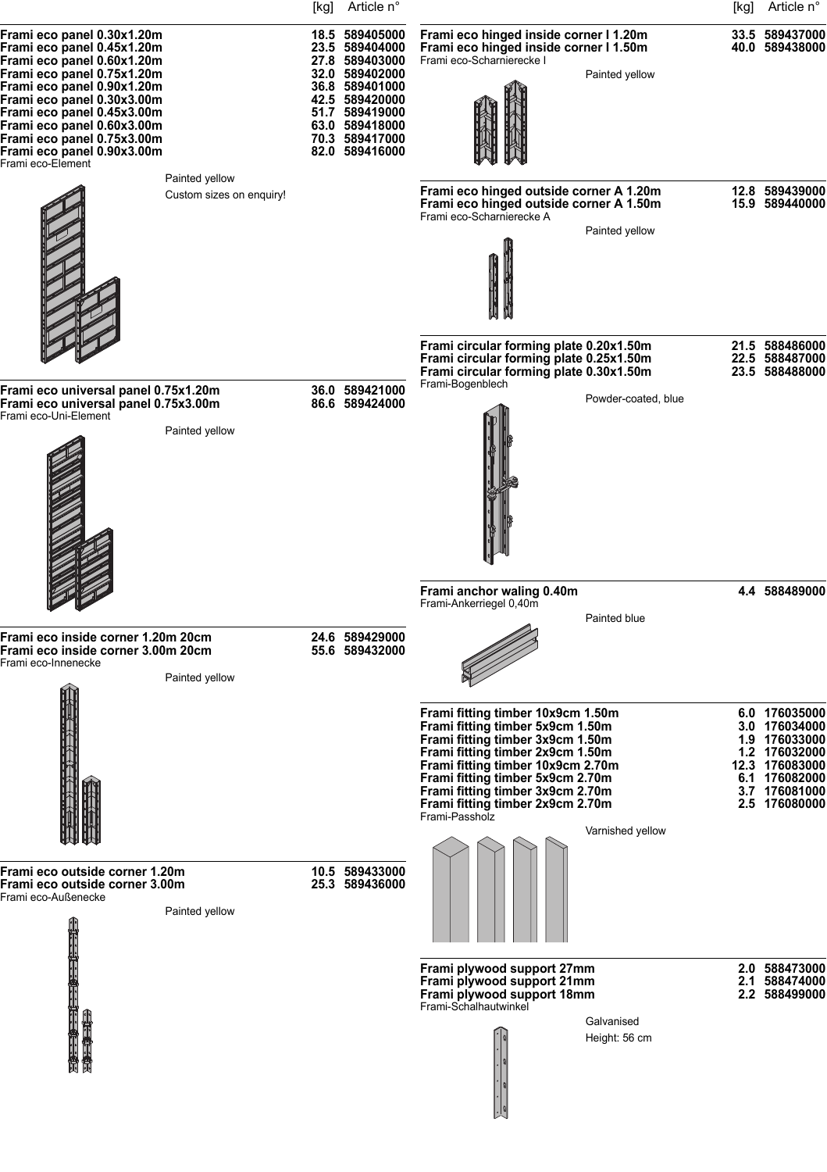|                                                                                                                                                                                                                                                                                                                               | [kg] Article n°                                                                                                                                                                  |                                                                                                                                                                                                                                                                                                                                      | [kg] | Article n°                                                                                                                            |
|-------------------------------------------------------------------------------------------------------------------------------------------------------------------------------------------------------------------------------------------------------------------------------------------------------------------------------|----------------------------------------------------------------------------------------------------------------------------------------------------------------------------------|--------------------------------------------------------------------------------------------------------------------------------------------------------------------------------------------------------------------------------------------------------------------------------------------------------------------------------------|------|---------------------------------------------------------------------------------------------------------------------------------------|
| Frami eco panel 0.30x1.20m<br>Frami eco panel 0.45x1.20m<br>Frami eco panel 0.60x1.20m<br>Frami eco panel 0.75x1.20m<br>Frami eco panel 0.90x1.20m<br>Frami eco panel 0.30x3.00m<br>Frami eco panel 0.45x3.00m<br>Frami eco panel 0.60x3.00m<br>Frami eco panel 0.75x3.00m<br>Frami eco panel 0.90x3.00m<br>Frami eco-Element | 18.5 589405000<br>23.5 589404000<br>27.8 589403000<br>32.0 589402000<br>36.8 589401000<br>42.5 589420000<br>51.7 589419000<br>63.0 589418000<br>70.3 589417000<br>82.0 589416000 | Frami eco hinged inside corner I 1.20m<br>Frami eco hinged inside corner I 1.50m<br>Frami eco-Scharnierecke I<br>Painted yellow                                                                                                                                                                                                      |      | 33.5 589437000<br>40.0 589438000                                                                                                      |
| Painted yellow<br>Custom sizes on enquiry!                                                                                                                                                                                                                                                                                    |                                                                                                                                                                                  | Frami eco hinged outside corner A 1.20m<br>Frami eco hinged outside corner A 1.50m<br>Frami eco-Scharnierecke A<br>Painted yellow                                                                                                                                                                                                    |      | 12.8 589439000<br>15.9 589440000                                                                                                      |
|                                                                                                                                                                                                                                                                                                                               |                                                                                                                                                                                  | Frami circular forming plate 0.20x1.50m<br>Frami circular forming plate 0.25x1.50m                                                                                                                                                                                                                                                   |      | 21.5 588486000<br>22.5 588487000                                                                                                      |
| Frami eco universal panel 0.75x1.20m<br>Frami eco universal panel 0.75x3.00m<br>Frami eco-Uni-Element<br>Painted yellow                                                                                                                                                                                                       | 36.0 589421000<br>86.6 589424000                                                                                                                                                 | Frami circular forming plate 0.30x1.50m<br>Frami-Bogenblech<br>Powder-coated, blue                                                                                                                                                                                                                                                   |      | 23.5 588488000                                                                                                                        |
|                                                                                                                                                                                                                                                                                                                               |                                                                                                                                                                                  | Frami anchor waling 0.40m<br>Frami-Ankerriegel 0,40m                                                                                                                                                                                                                                                                                 |      | 4.4 588489000                                                                                                                         |
| Frami eco inside corner 1.20m 20cm<br>Frami eco inside corner 3.00m 20cm<br>Frami eco-Innenecke<br>Painted yellow                                                                                                                                                                                                             | 24.6 589429000<br>55.6 589432000                                                                                                                                                 | Painted blue                                                                                                                                                                                                                                                                                                                         |      |                                                                                                                                       |
|                                                                                                                                                                                                                                                                                                                               |                                                                                                                                                                                  | Frami fitting timber 10x9cm 1.50m<br>Frami fitting timber 5x9cm 1.50m<br>Frami fitting timber 3x9cm 1.50m<br>Frami fitting timber 2x9cm 1.50m<br>Frami fitting timber 10x9cm 2.70m<br>Frami fitting timber 5x9cm 2.70m<br>Frami fitting timber 3x9cm 2.70m<br>Frami fitting timber 2x9cm 2.70m<br>Frami-Passholz<br>Varnished yellow |      | 6.0 176035000<br>3.0 176034000<br>1.9 176033000<br>1.2 176032000<br>12.3 176083000<br>6.1 176082000<br>3.7 176081000<br>2.5 176080000 |
| Frami eco outside corner 1.20m<br>Frami eco outside corner 3.00m<br>Frami eco-Außenecke<br>Painted yellow                                                                                                                                                                                                                     | 10.5 589433000<br>25.3 589436000                                                                                                                                                 |                                                                                                                                                                                                                                                                                                                                      |      |                                                                                                                                       |
|                                                                                                                                                                                                                                                                                                                               |                                                                                                                                                                                  | Frami plywood support 27mm<br>Frami plywood support 21mm<br>Frami plywood support 18mm<br>Frami-Schalhautwinkel<br>Galvanised<br>Height: 56 cm                                                                                                                                                                                       |      | 2.0 588473000<br>2.1 588474000<br>2.2 588499000                                                                                       |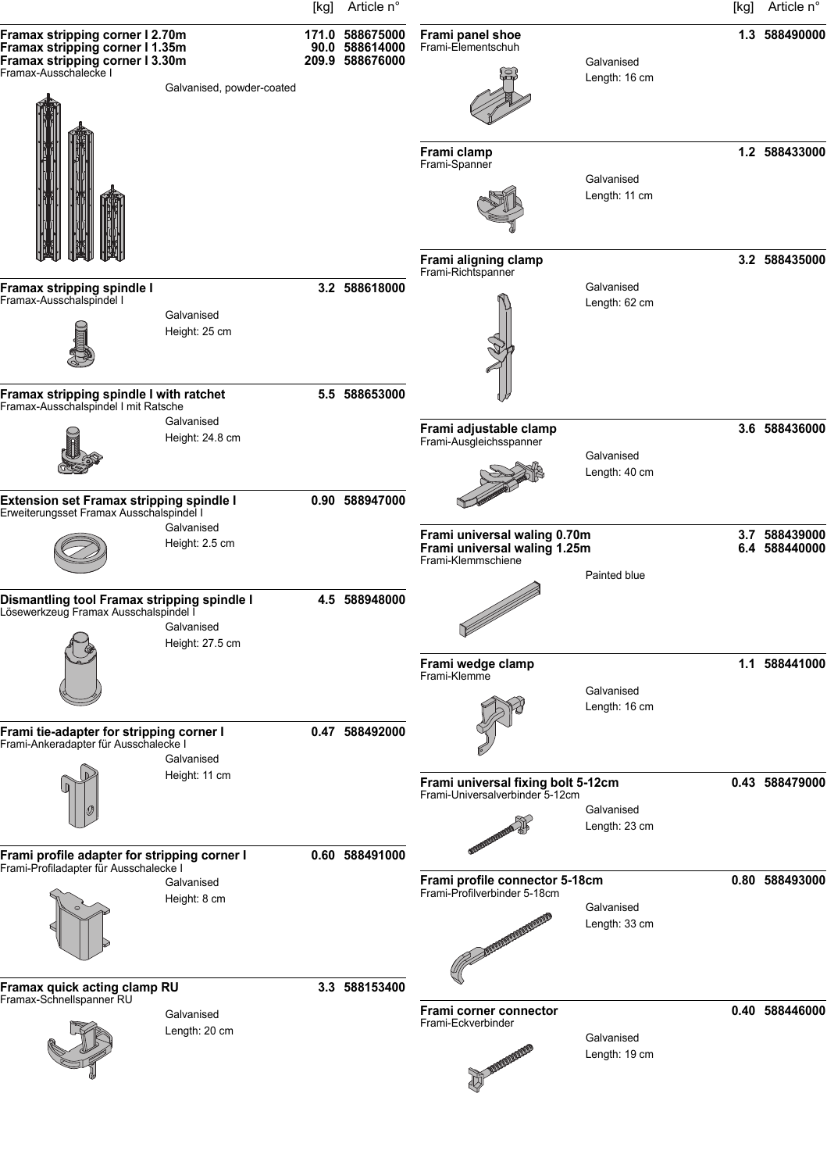|                                                                                                                                                             | [kg] Article n°                                      |                                                                                    |                             | [kg] | Article n°                     |
|-------------------------------------------------------------------------------------------------------------------------------------------------------------|------------------------------------------------------|------------------------------------------------------------------------------------|-----------------------------|------|--------------------------------|
| Framax stripping corner I 2.70m<br>Framax stripping corner I 1.35m<br>Framax stripping corner I 3.30m<br>Framax-Ausschalecke I<br>Galvanised, powder-coated | 171.0 588675000<br>90.0 588614000<br>209.9 588676000 | Frami panel shoe<br>Frami-Elementschuh<br>Frami clamp                              | Galvanised<br>Length: 16 cm |      | 1.3 588490000<br>1.2 588433000 |
|                                                                                                                                                             |                                                      | Frami-Spanner<br>Frami aligning clamp                                              | Galvanised<br>Length: 11 cm |      | 3.2 588435000                  |
|                                                                                                                                                             |                                                      | Frami-Richtspanner                                                                 | Galvanised                  |      |                                |
| Framax stripping spindle I<br>Framax-Ausschalspindel I<br>Galvanised<br>Height: 25 cm                                                                       | 3.2 588618000                                        |                                                                                    | Length: 62 cm               |      |                                |
| Framax stripping spindle I with ratchet<br>Framax-Ausschalspindel I mit Ratsche                                                                             | 5.5 588653000                                        |                                                                                    |                             |      |                                |
| Galvanised<br>Height: 24.8 cm                                                                                                                               |                                                      | Frami adjustable clamp<br>Frami-Ausgleichsspanner                                  | Galvanised<br>Length: 40 cm |      | 3.6 588436000                  |
| Extension set Framax stripping spindle I<br>Erweiterungsset Framax Ausschalspindel I                                                                        | 0.90 588947000                                       |                                                                                    |                             |      |                                |
| Galvanised<br>Height: 2.5 cm                                                                                                                                |                                                      | Frami universal waling 0.70m<br>Frami universal waling 1.25m<br>Frami-Klemmschiene | Painted blue                |      | 3.7 588439000<br>6.4 588440000 |
| Dismantling tool Framax stripping spindle I<br>Lösewerkzeug Framax Ausschalspindel I<br>Galvanised<br>Height: 27.5 cm                                       | 4.5 588948000                                        |                                                                                    |                             |      |                                |
|                                                                                                                                                             |                                                      | Frami wedge clamp<br>Frami-Klemme                                                  | Galvanised<br>Length: 16 cm |      | 1.1 588441000                  |
| Frami tie-adapter for stripping corner I<br>Frami-Ankeradapter für Ausschalecke I<br>Galvanised                                                             | 0.47 588492000                                       |                                                                                    |                             |      |                                |
| Height: 11 cm                                                                                                                                               |                                                      | Frami universal fixing bolt 5-12cm<br>Frami-Universalverbinder 5-12cm              | Galvanised<br>Length: 23 cm |      | 0.43 588479000                 |
| Frami profile adapter for stripping corner I<br>Frami-Profiladapter für Ausschalecke I                                                                      | 0.60 588491000                                       |                                                                                    |                             |      |                                |
| Galvanised<br>Height: 8 cm                                                                                                                                  |                                                      | Frami profile connector 5-18cm<br>Frami-Profilverbinder 5-18cm                     | Galvanised<br>Length: 33 cm |      | 0.80 588493000                 |
| Framax quick acting clamp RU                                                                                                                                | 3.3 588153400                                        |                                                                                    |                             |      |                                |
| Framax-Schnellspanner RU<br>Galvanised<br>Length: 20 cm                                                                                                     |                                                      | Frami corner connector<br>Frami-Eckverbinder<br><b>THE REAL PROPERTY</b>           | Galvanised<br>Length: 19 cm |      | 0.40 588446000                 |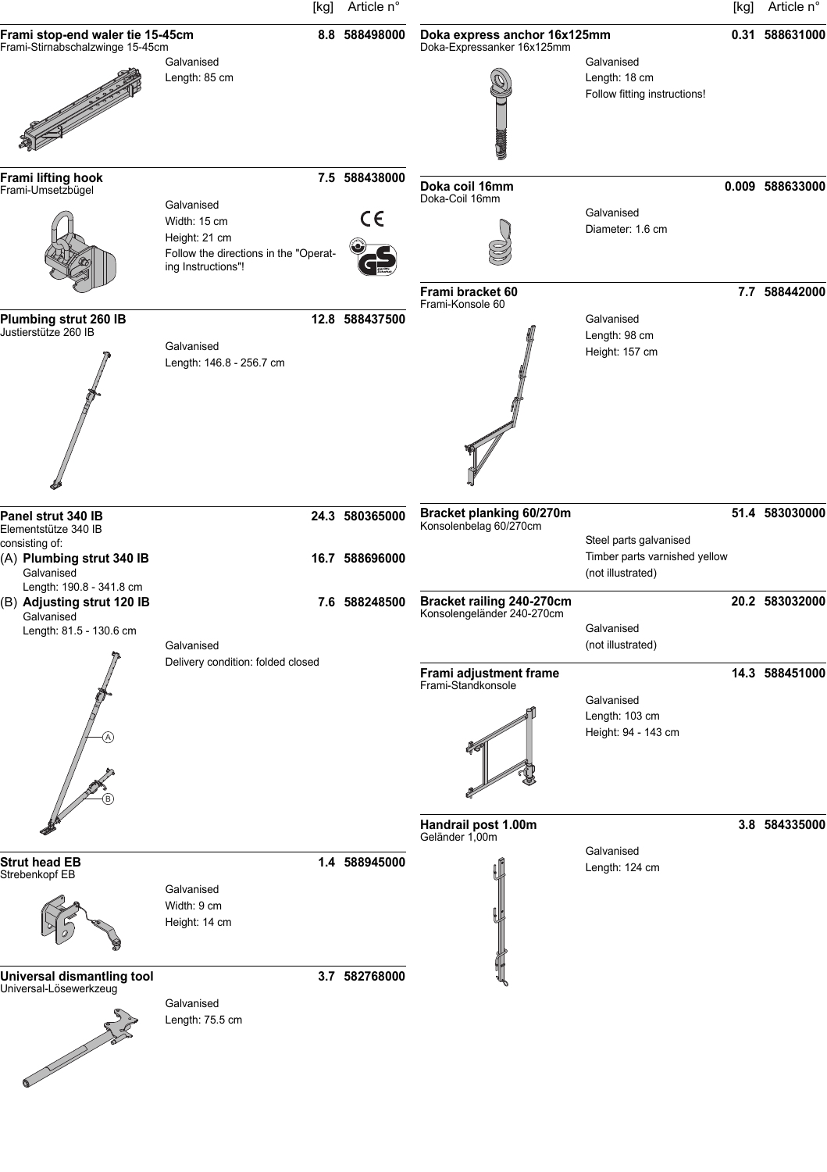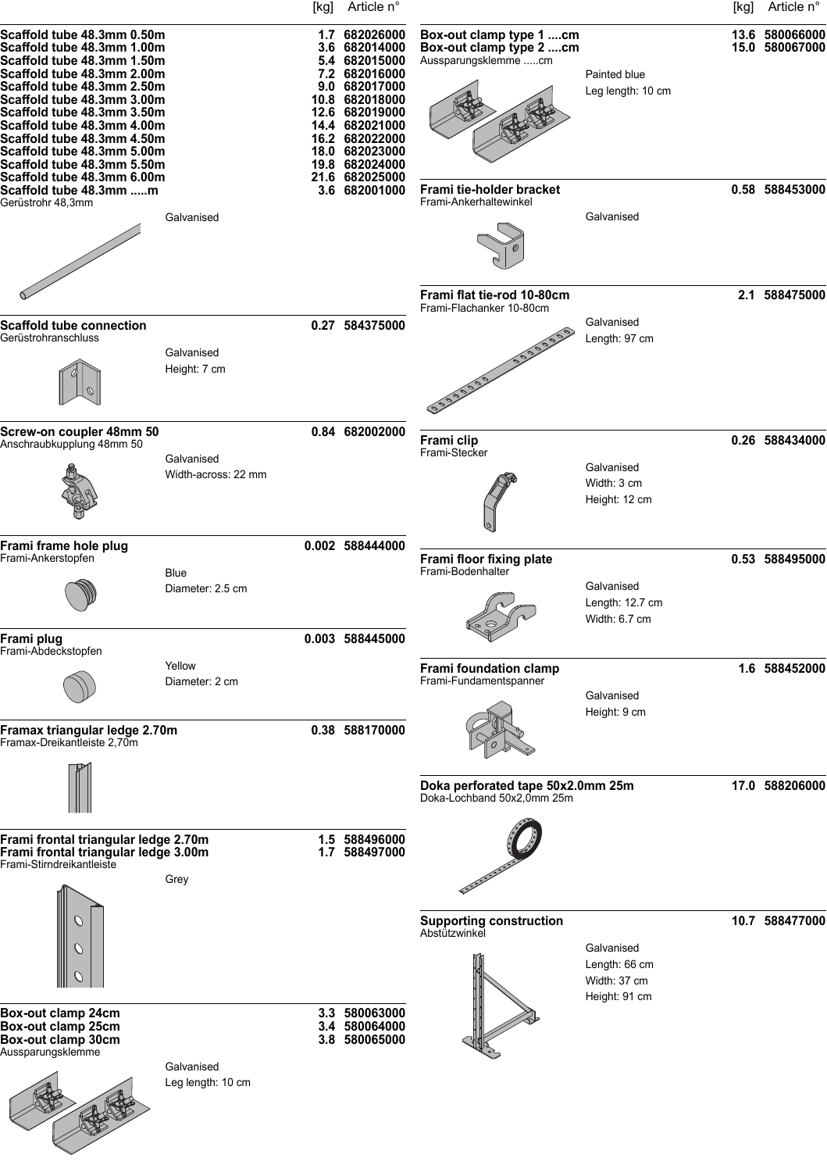